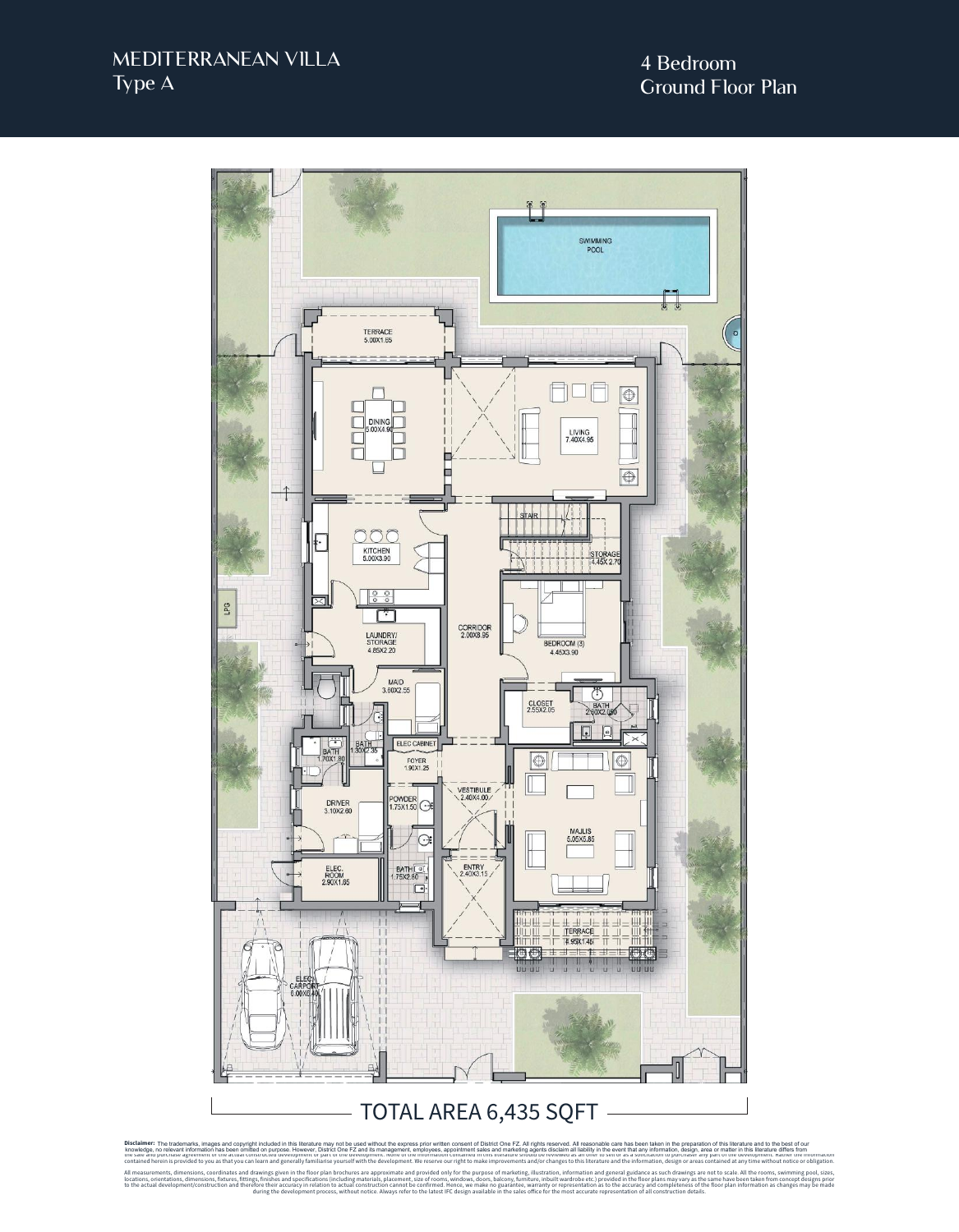## MEDITERRANEAN VILLA Type A



Disclaimer: The trademarks, images and copyright included in this literature may not be used without the express prior written consent of District One FZ. All rights reserved. All reasonable care has been taken in the prep Disclaimer: The trademarks, images and copyright included in this literature may not be used without the express prior written consent of District One IT. All rights reserve in the serve in the serve in the such as the ser

contained herein is provided to you as that you can learn and generally familiarise yourself with the development. We reserve our right to make improvements and/or changes to this literature and the information, design or All measurements, dimensions, coordinates and the avvings given in the floor plan brochures are approximate and provided only for the purpose of marketing, lilustrian, including materials, placement, size of rooms, windows